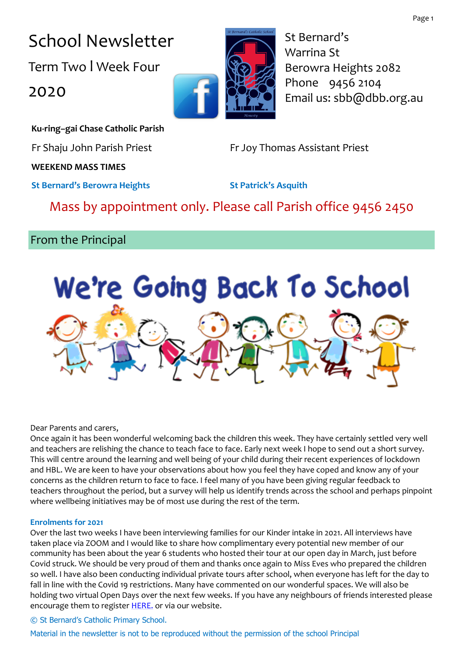Page 1

School Newsletter Term Two l Week Four 2020

St Bernard's Warrina St Berowra Heights 2082 Phone 9456 2104 Email us: sbb@dbb.org.au

**Ku-ring–gai Chase Catholic Parish**

Fr Shaju John Parish Priest Fr Joy Thomas Assistant Priest

### **WEEKEND MASS TIMES**

**St Bernard's Berowra Heights St Patrick's Asquith**

## Mass by appointment only. Please call Parish office 9456 2450

## From the Principal



Dear Parents and carers,

Once again it has been wonderful welcoming back the children this week. They have certainly settled very well and teachers are relishing the chance to teach face to face. Early next week I hope to send out a short survey. This will centre around the learning and well being of your child during their recent experiences of lockdown and HBL. We are keen to have your observations about how you feel they have coped and know any of your concerns as the children return to face to face. I feel many of you have been giving regular feedback to teachers throughout the period, but a survey will help us identify trends across the school and perhaps pinpoint where wellbeing initiatives may be of most use during the rest of the term.

#### **Enrolments for 2021**

Over the last two weeks I have been interviewing families for our Kinder intake in 2021. All interviews have taken place via ZOOM and I would like to share how complimentary every potential new member of our community has been about the year 6 students who hosted their tour at our open day in March, just before Covid struck. We should be very proud of them and thanks once again to Miss Eves who prepared the children so well. I have also been conducting individual private tours after school, when everyone has left for the day to fall in line with the Covid 19 restrictions. Many have commented on our wonderful spaces. We will also be holding two virtual Open Days over the next few weeks. If you have any neighbours of friends interested please encourage them to register **HERE**, or via our website.

#### © St Bernard's Catholic Primary School.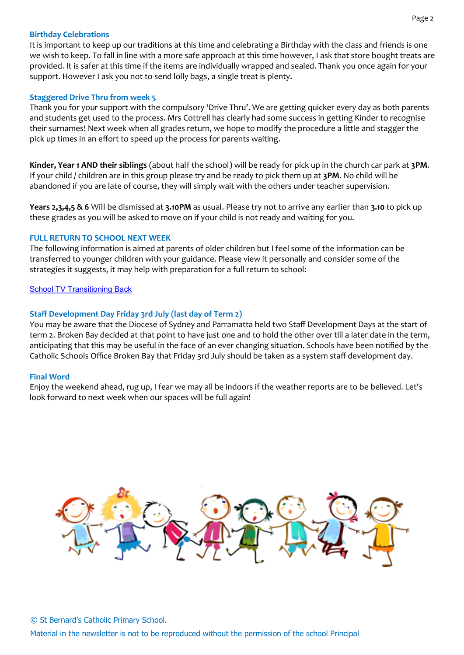#### **Birthday Celebrations**

It is important to keep up our traditions at this time and celebrating a Birthday with the class and friends is one we wish to keep. To fall in line with a more safe approach at this time however, I ask that store bought treats are provided. It is safer at this time if the items are individually wrapped and sealed. Thank you once again for your support. However I ask you not to send lolly bags, a single treat is plenty.

#### **Staggered Drive Thru from week 5**

Thank you for your support with the compulsory 'Drive Thru'. We are getting quicker every day as both parents and students get used to the process. Mrs Cottrell has clearly had some success in getting Kinder to recognise their surnames! Next week when all grades return, we hope to modify the procedure a little and stagger the pick up times in an effort to speed up the process for parents waiting.

**Kinder, Year 1 AND their siblings** (about half the school) will be ready for pick up in the church car park at **3PM**. If your child / children are in this group please try and be ready to pick them up at **3PM**. No child will be abandoned if you are late of course, they will simply wait with the others under teacher supervision.

**Years 2,3,4,5 & 6** Will be dismissed at **3.10PM** as usual. Please try not to arrive any earlier than **3.10** to pick up these grades as you will be asked to move on if your child is not ready and waiting for you.

#### **FULL RETURN TO SCHOOL NEXT WEEK**

The following information is aimed at parents of older children but I feel some of the information can be transferred to younger children with your guidance. Please view it personally and consider some of the strategies it suggests, it may help with preparation for a full return to school:

[School TV Transitioning Back](https://schooltv.me/wellbeing_news/special-report-coronavirus-transition-back)

#### **Staff Development Day Friday 3rd July (last day of Term 2)**

You may be aware that the Diocese of Sydney and Parramatta held two Staff Development Days at the start of term 2. Broken Bay decided at that point to have just one and to hold the other over till a later date in the term, anticipating that this may be useful in the face of an ever changing situation. Schools have been notified by the Catholic Schools Office Broken Bay that Friday 3rd July should be taken as a system staff development day.

#### **Final Word**

Enjoy the weekend ahead, rug up, I fear we may all be indoors if the weather reports are to be believed. Let's look forward to next week when our spaces will be full again!

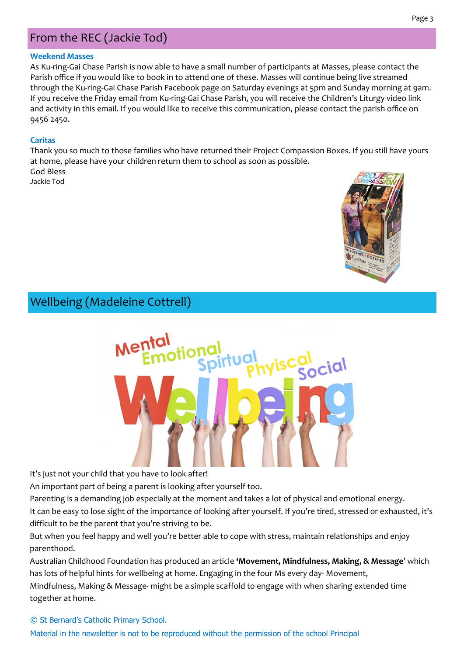## From the REC (Jackie Tod)

#### **Weekend Masses**

As Ku-ring-Gai Chase Parish is now able to have a small number of participants at Masses, please contact the Parish office if you would like to book in to attend one of these. Masses will continue being live streamed through the Ku-ring-Gai Chase Parish Facebook page on Saturday evenings at 5pm and Sunday morning at 9am. If you receive the Friday email from Ku-ring-Gai Chase Parish, you will receive the Children's Liturgy video link and activity in this email. If you would like to receive this communication, please contact the parish office on 9456 2450.

#### **Caritas**

Thank you so much to those families who have returned their Project Compassion Boxes. If you still have yours at home, please have your children return them to school as soon as possible. God Bless

Jackie Tod



Wellbeing (Madeleine Cottrell)



It's just not your child that you have to look after!

An important part of being a parent is looking after yourself too.

Parenting is a demanding job especially at the moment and takes a lot of physical and emotional energy.

It can be easy to lose sight of the importance of looking after yourself. If you're tired, stressed or exhausted, it's difficult to be the parent that you're striving to be.

But when you feel happy and well you're better able to cope with stress, maintain relationships and enjoy parenthood.

Australian Childhood Foundation has produced an article **'Movement, Mindfulness, Making, & Message**' which has lots of helpful hints for wellbeing at home. Engaging in the four Ms every day- Movement, Mindfulness, Making & Message- might be a simple scaffold to engage with when sharing extended time together at home.

© St Bernard's Catholic Primary School. Material in the newsletter is not to be reproduced without the permission of the school Principal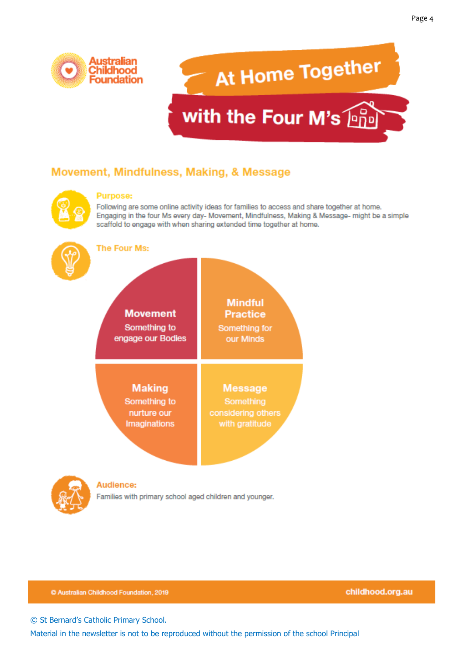

# At Home Together with the Four M's **Php**

## Movement, Mindfulness, Making, & Message



#### **Purpose:**

Following are some online activity ideas for families to access and share together at home. Engaging in the four Ms every day- Movement, Mindfulness, Making & Message- might be a simple scaffold to engage with when sharing extended time together at home.



**The Four Ms:** 





#### Audience:

Families with primary school aged children and younger.

C Australian Childhood Foundation, 2019

childhood.org.au

© St Bernard's Catholic Primary School.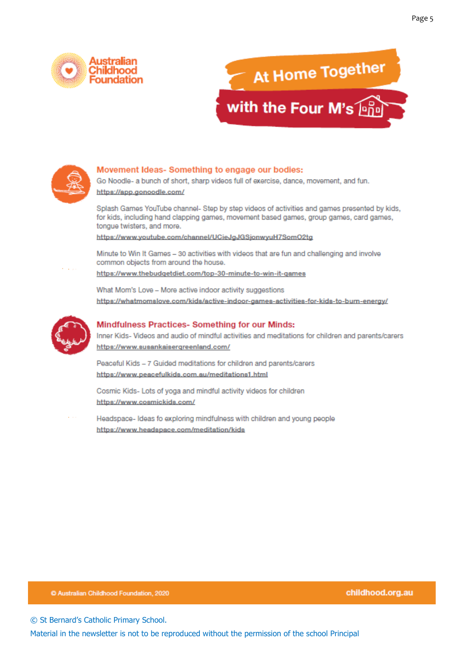





#### Movement Ideas-Something to engage our bodies:

Go Noodle- a bunch of short, sharp videos full of exercise, dance, movement, and fun. https://app.gonoodle.com/

Splash Games YouTube channel- Step by step videos of activities and games presented by kids, for kids, including hand clapping games, movement based games, group games, card games, tongue twisters, and more.

https://www.youtube.com/channel/UCieJgJGSjonwyuH7SomO2tg

Minute to Win It Games - 30 activities with videos that are fun and challenging and involve common objects from around the house.

https://www.thebudgetdiet.com/top-30-minute-to-win-it-games

What Mom's Love - More active indoor activity suggestions https://whatmomslove.com/kids/active-indoor-games-activities-for-kids-to-burn-energy/



#### Mindfulness Practices- Something for our Minds:

Inner Kids- Videos and audio of mindful activities and meditations for children and parents/carers https://www.susankaisergreenland.com/

Peaceful Kids - 7 Guided meditations for children and parents/carers https://www.peacefulkids.com.au/meditations1.html

Cosmic Kids- Lots of yoga and mindful activity videos for children https://www.cosmickids.com/

Headspace- Ideas fo exploring mindfulness with children and young people https://www.headspace.com/meditation/kids

C Australian Childhood Foundation, 2020

Page 5

© St Bernard's Catholic Primary School.